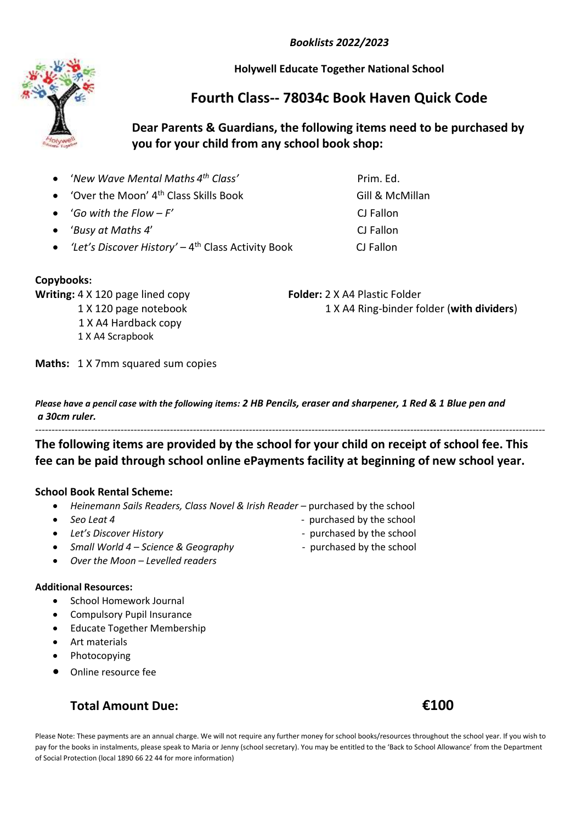*Booklists 2022/2023*

**Holywell Educate Together National School**

## **Fourth Class-- 78034c Book Haven Quick Code**

### **Dear Parents & Guardians, the following items need to be purchased by you for your child from any school book shop:**

- '*New Wave Mental Maths 4*
- 'Over the Moon' 4<sup>th</sup> Class Skills Book Gill & McMillan
- '*Go with the Flow – F'* CJ Fallon
- '*Busy at Maths 4*' CJ Fallon
- 'Let's Discover History' 4<sup>th</sup> Class Activity Book CJ Fallon

### **Copybooks:**

**Writing:** 4 X 120 page lined copy **Folder:** 2 X A4 Plastic Folder

1 X A4 Hardback copy

1 X A4 Scrapbook

1 X 120 page notebook 1 X A4 Ring-binder folder (**with dividers**)

*th Class'* Prim. Ed.

**Maths:** 1 X 7mm squared sum copies

*Please have a pencil case with the following items: 2 HB Pencils, eraser and sharpener, 1 Red & 1 Blue pen and a 30cm ruler.*

----------------------------------------------------------------------------------------------------------------------------------------------------------- **The following items are provided by the school for your child on receipt of school fee. This** 

# **fee can be paid through school online ePayments facility at beginning of new school year.**

### **School Book Rental Scheme:**

- *Heinemann Sails Readers, Class Novel & Irish Reader –* purchased by the school
- 
- 
- *Small World 4 – Science & Geography*  purchased by the school
- *Over the Moon Levelled readers*

#### **Additional Resources:**

- School Homework Journal
- Compulsory Pupil Insurance
- Educate Together Membership
- Art materials
- Photocopying
- Online resource fee

## **Total Amount Due: €100**

• Seo Leat 4 **by Second Leap Assaure 2 c** purchased by the school

- Let's Discover History<br> **Let's Discover History** 
	-

Please Note: These payments are an annual charge. We will not require any further money for school books/resources throughout the school year. If you wish to pay for the books in instalments, please speak to Maria or Jenny (school secretary). You may be entitled to the 'Back to School Allowance' from the Department of Social Protection (local 1890 66 22 44 for more information)